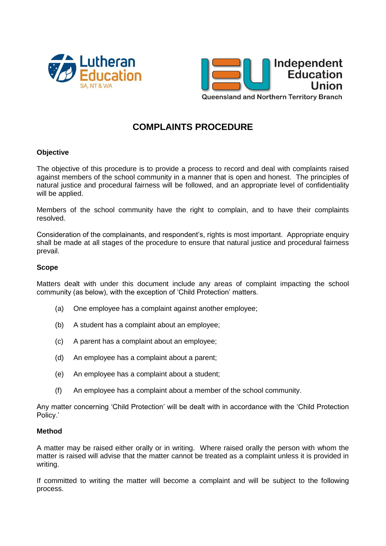



## **COMPLAINTS PROCEDURE**

## **Objective**

The objective of this procedure is to provide a process to record and deal with complaints raised against members of the school community in a manner that is open and honest. The principles of natural justice and procedural fairness will be followed, and an appropriate level of confidentiality will be applied.

Members of the school community have the right to complain, and to have their complaints resolved.

Consideration of the complainants, and respondent's, rights is most important. Appropriate enquiry shall be made at all stages of the procedure to ensure that natural justice and procedural fairness prevail.

## **Scope**

Matters dealt with under this document include any areas of complaint impacting the school community (as below), with the exception of 'Child Protection' matters.

- (a) One employee has a complaint against another employee;
- (b) A student has a complaint about an employee;
- (c) A parent has a complaint about an employee;
- (d) An employee has a complaint about a parent;
- (e) An employee has a complaint about a student;
- (f) An employee has a complaint about a member of the school community.

Any matter concerning 'Child Protection' will be dealt with in accordance with the 'Child Protection Policy.'

## **Method**

A matter may be raised either orally or in writing. Where raised orally the person with whom the matter is raised will advise that the matter cannot be treated as a complaint unless it is provided in writing.

If committed to writing the matter will become a complaint and will be subject to the following process.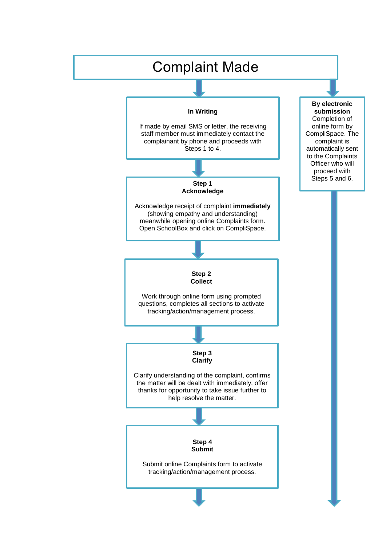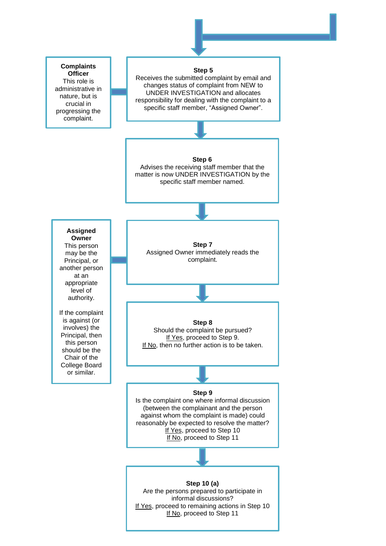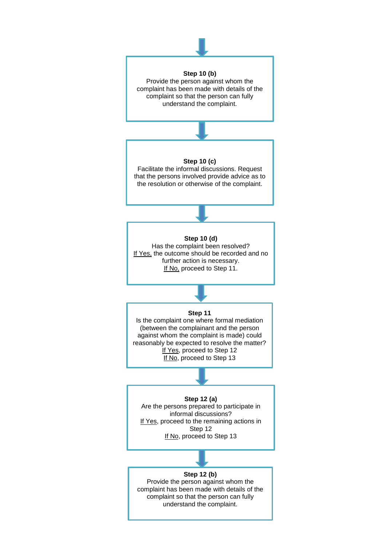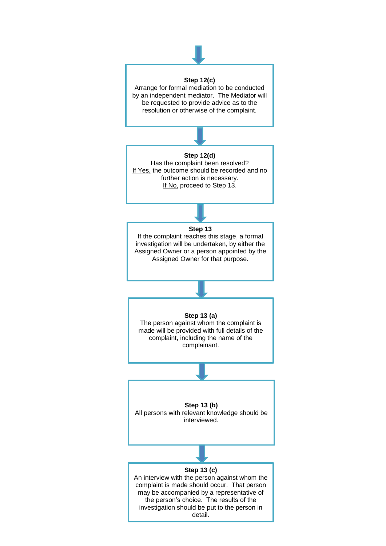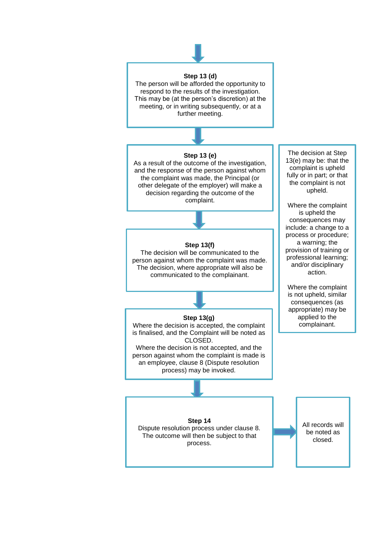